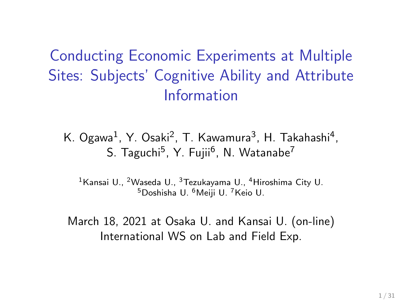Conducting Economic Experiments at Multiple Sites: Subjects' Cognitive Ability and Attribute Information

K. Ogawa<sup>1</sup>, Y. Osaki<sup>2</sup>, T. Kawamura<sup>3</sup>, H. Takahashi<sup>4</sup>, S. Taguchi<sup>5</sup>, Y. Fujii<sup>6</sup>, N. Watanabe<sup>7</sup>

<sup>1</sup> Kansai U., <sup>2</sup> Waseda U., <sup>3</sup> Tezukayama U., <sup>4</sup> Hiroshima City U. <sup>5</sup>Doshisha U. <sup>6</sup>Meiji U. <sup>7</sup>Keio U.

March 18, 2021 at Osaka U. and Kansai U. (on-line) International WS on Lab and Field Exp.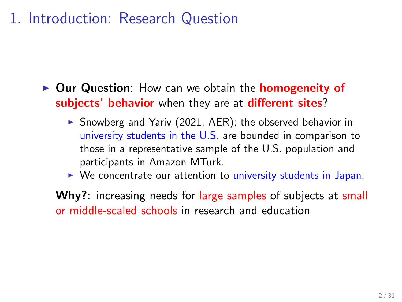## 1. Introduction: Research Question

- ▶ **Our Question**: How can we obtain the **homogeneity of subjects' behavior** when they are at **different sites**?
	- ▶ Snowberg and Yariv (2021, AER): the observed behavior in university students in the U.S. are bounded in comparison to those in a representative sample of the U.S. population and participants in Amazon MTurk.
	- ▶ We concentrate our attention to university students in Japan.

**Why?**: increasing needs for large samples of subjects at small or middle-scaled schools in research and education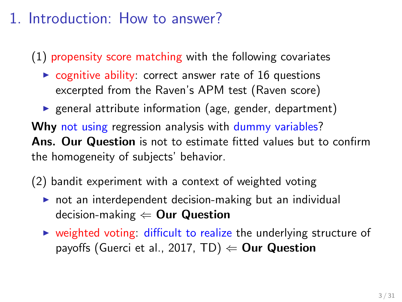## 1. Introduction: How to answer?

(1) propensity score matching with the following covariates

- $\triangleright$  cognitive ability: correct answer rate of 16 questions excerpted from the Raven's APM test (Raven score)
- ▶ general attribute information (age, gender, department)

**Why** not using regression analysis with dummy variables? **Ans. Our Question** is not to estimate fitted values but to confirm the homogeneity of subjects' behavior.

(2) bandit experiment with a context of weighted voting

- ▶ not an interdependent decision-making but an individual decision-making *⇐* **Our Question**
- ▶ weighted voting: difficult to realize the underlying structure of payoffs (Guerci et al., 2017, TD) *⇐* **Our Question**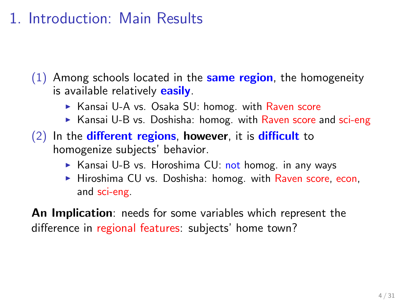## 1. Introduction: Main Results

(1) Among schools located in the **same region**, the homogeneity is available relatively **easily**.

- ▶ Kansai U-A vs. Osaka SU: homog. with Raven score
- $\triangleright$  Kansai U-B vs. Doshisha: homog. with Raven score and sci-eng
- (2) In the **different regions**, **however**, it is **difficult** to homogenize subjects' behavior.
	- ▶ Kansai U-B vs. Horoshima CU: not homog. in any ways
	- ▶ Hiroshima CU vs. Doshisha: homog. with Raven score, econ, and sci-eng.

**An Implication**: needs for some variables which represent the difference in regional features: subjects' home town?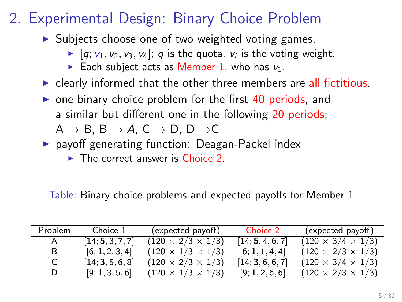## 2. Experimental Design: Binary Choice Problem

- ▶ Subjects choose one of two weighted voting games.
	- $\blacktriangleright$   $[q; v_1, v_2, v_3, v_4]; q$  is the quota,  $v_i$  is the voting weight.
	- Each subject acts as Member 1, who has  $v_1$ .
- $\triangleright$  clearly informed that the other three members are all fictitious.
- ▶ one binary choice problem for the first 40 periods, and a similar but different one in the following 20 periods; A *→* B, B *→ A*, C *→* D, D *→*C
- ▶ payoff generating function: Deagan-Packel index
	- $\triangleright$  The correct answer is Choice 2.

Table: Binary choice problems and expected payoffs for Member 1

| Problem | Choice 1         | (expected payoff)             | Choice 2         | (expected payoff)             |
|---------|------------------|-------------------------------|------------------|-------------------------------|
|         | [14; 5, 3, 7, 7] | $(120 \times 2/3 \times 1/3)$ | [14; 5, 4, 6, 7] | $(120 \times 3/4 \times 1/3)$ |
| В       | [6; 1, 2, 3, 4]  | $(120 \times 1/3 \times 1/3)$ | [6; 1, 1, 4, 4]  | $(120 \times 2/3 \times 1/3)$ |
|         | [14; 3, 5, 6, 8] | $(120 \times 2/3 \times 1/3)$ | [14; 3, 6, 6, 7] | $(120 \times 3/4 \times 1/3)$ |
|         | [9; 1, 3, 5, 6]  | $(120 \times 1/3 \times 1/3)$ | [9;1,2,6,6]      | $(120 \times 2/3 \times 1/3)$ |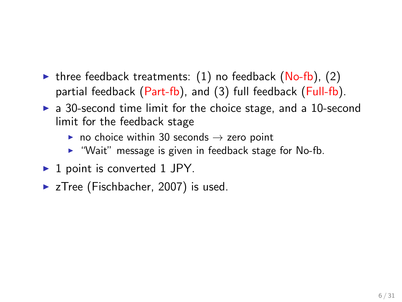- ▶ three feedback treatments:  $(1)$  no feedback  $(No-fb)$ ,  $(2)$ partial feedback (Part-fb), and (3) full feedback (Full-fb).
- ▶ a 30-second time limit for the choice stage, and a 10-second limit for the feedback stage
	- ▶ no choice within 30 seconds *→* zero point
	- ▶ "Wait" message is given in feedback stage for No-fb.
- ▶ 1 point is converted 1 JPY.
- ▶ zTree (Fischbacher, 2007) is used.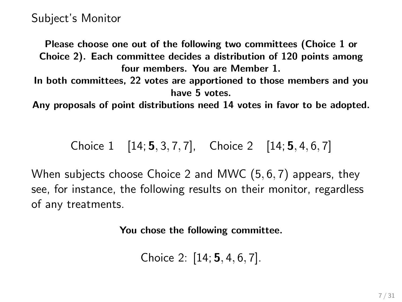**Please choose one out of the following two committees (Choice 1 or Choice 2). Each committee decides a distribution of 120 points among four members. You are Member 1.**

**In both committees, 22 votes are apportioned to those members and you have 5 votes.**

**Any proposals of point distributions need 14 votes in favor to be adopted.**

Choice 1 [14; **5***,* 3*,* 7*,* 7], Choice 2 [14; **5***,* 4*,* 6*,* 7]

When subjects choose Choice 2 and MWC (5*,* 6*,* 7) appears, they see, for instance, the following results on their monitor, regardless of any treatments.

**You chose the following committee.**

Choice 2: [14; **5***,* 4*,* 6*,* 7].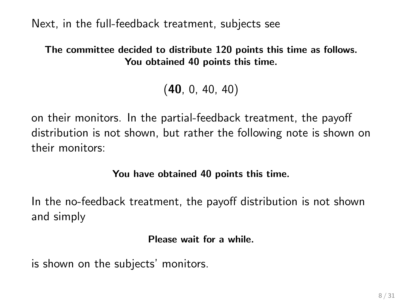Next, in the full-feedback treatment, subjects see

#### **The committee decided to distribute 120 points this time as follows. You obtained 40 points this time.**

(**40**, 0, 40, 40)

on their monitors. In the partial-feedback treatment, the payoff distribution is not shown, but rather the following note is shown on their monitors:

**You have obtained 40 points this time.**

In the no-feedback treatment, the payoff distribution is not shown and simply

#### **Please wait for a while.**

is shown on the subjects' monitors.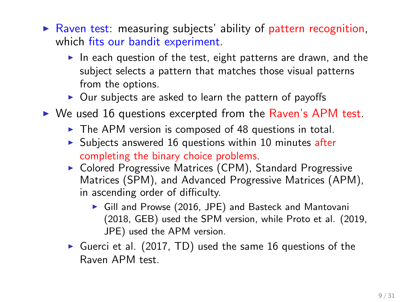- $\triangleright$  Raven test: measuring subjects' ability of pattern recognition, which fits our bandit experiment.
	- ▶ In each question of the test, eight patterns are drawn, and the subject selects a pattern that matches those visual patterns from the options.
	- $\triangleright$  Our subjects are asked to learn the pattern of payoffs
- ▶ We used 16 questions excerpted from the Raven's APM test.
	- $\triangleright$  The APM version is composed of 48 questions in total.
	- $\triangleright$  Subjects answered 16 questions within 10 minutes after completing the binary choice problems.
	- ▶ Colored Progressive Matrices (CPM), Standard Progressive Matrices (SPM), and Advanced Progressive Matrices (APM), in ascending order of difficulty.
		- ▶ Gill and Prowse (2016, JPE) and Basteck and Mantovani (2018, GEB) used the SPM version, while Proto et al. (2019, JPE) used the APM version.
	- ▶ Guerci et al. (2017, TD) used the same 16 questions of the Raven APM test.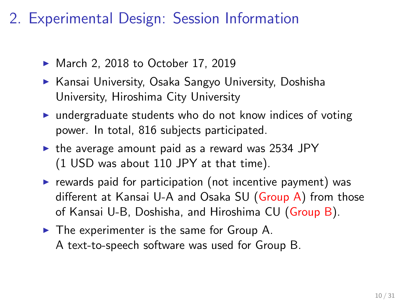## 2. Experimental Design: Session Information

- ▶ March 2, 2018 to October 17, 2019
- ▶ Kansai University, Osaka Sangyo University, Doshisha University, Hiroshima City University
- ▶ undergraduate students who do not know indices of voting power. In total, 816 subjects participated.
- ▶ the average amount paid as a reward was 2534 JPY (1 USD was about 110 JPY at that time).
- $\triangleright$  rewards paid for participation (not incentive payment) was different at Kansai U-A and Osaka SU (Group A) from those of Kansai U-B, Doshisha, and Hiroshima CU (Group B).
- ▶ The experimenter is the same for Group A. A text-to-speech software was used for Group B.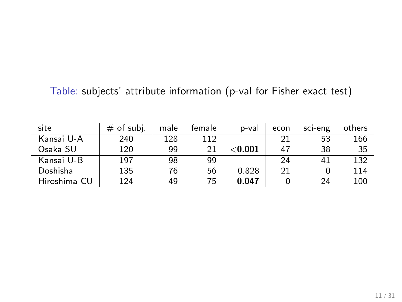### Table: subjects' attribute information (p-val for Fisher exact test)

| site         | $#$ of subj. | male | female | p-val          | econ | sci-eng | others |
|--------------|--------------|------|--------|----------------|------|---------|--------|
| Kansai U-A   | 240          | 128  | 112    |                | 21   | 53      | 166    |
| Osaka SU     | 120          | 99   | 21     | $<$ 0.001 $\,$ | 47   | 38      | 35     |
| Kansai U-B   | 197          | 98   | 99     |                | 24   | 41      | 132    |
| Doshisha     | 135          | 76   | 56     | 0.828          | 21   |         | 114    |
| Hiroshima CU | 124          | 49   | 75     | 0.047          |      | 24      | 100    |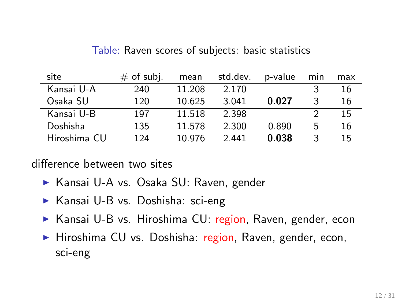| site         | $#$ of subj. | mean   | std.dev. | p-value | min | max |
|--------------|--------------|--------|----------|---------|-----|-----|
| Kansai U-A   | 240          | 11.208 | 2.170    |         |     | 16  |
| Osaka SU     | 120          | 10.625 | 3.041    | 0.027   | 3   | 16  |
| Kansai U-B   | 197          | 11.518 | 2.398    |         |     | 15  |
| Doshisha     | 135          | 11.578 | 2.300    | 0.890   | 5   | 16  |
| Hiroshima CU | 124          | 10.976 | 2.441    | 0.038   | 3   | 15  |

Table: Raven scores of subjects: basic statistics

difference between two sites

- ▶ Kansai U-A vs. Osaka SU: Raven, gender
- ▶ Kansai U-B vs. Doshisha: sci-eng
- ▶ Kansai U-B vs. Hiroshima CU: region, Raven, gender, econ
- ▶ Hiroshima CU vs. Doshisha: region, Raven, gender, econ, sci-eng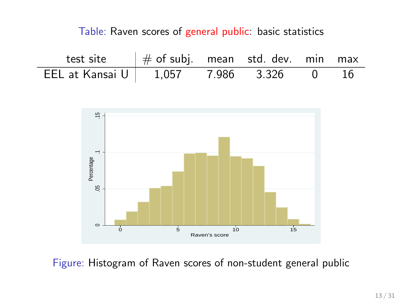Table: Raven scores of general public: basic statistics

| test site                           | $\frac{1}{2}$ $\#$ of subj. mean std. dev. min max |  |                |  |
|-------------------------------------|----------------------------------------------------|--|----------------|--|
| EEL at Kansai U   1,057 7.986 3.326 |                                                    |  | $\overline{0}$ |  |

J.



Figure: Histogram of Raven scores of non-student general public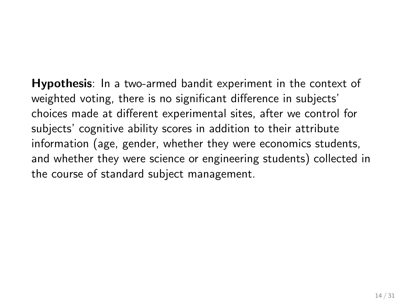**Hypothesis**: In a two-armed bandit experiment in the context of weighted voting, there is no significant difference in subjects' choices made at different experimental sites, after we control for subjects' cognitive ability scores in addition to their attribute information (age, gender, whether they were economics students, and whether they were science or engineering students) collected in the course of standard subject management.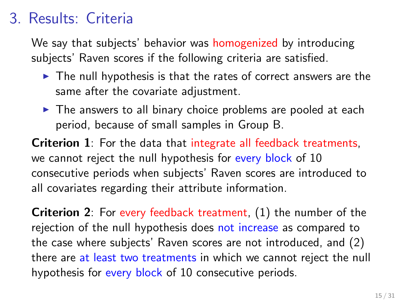## 3. Results: Criteria

We say that subjects' behavior was homogenized by introducing subjects' Raven scores if the following criteria are satisfied.

- $\blacktriangleright$  The null hypothesis is that the rates of correct answers are the same after the covariate adjustment.
- $\triangleright$  The answers to all binary choice problems are pooled at each period, because of small samples in Group B.

**Criterion 1**: For the data that integrate all feedback treatments, we cannot reject the null hypothesis for every block of 10 consecutive periods when subjects' Raven scores are introduced to all covariates regarding their attribute information.

**Criterion 2**: For every feedback treatment, (1) the number of the rejection of the null hypothesis does not increase as compared to the case where subjects' Raven scores are not introduced, and (2) there are at least two treatments in which we cannot reject the null hypothesis for every block of 10 consecutive periods.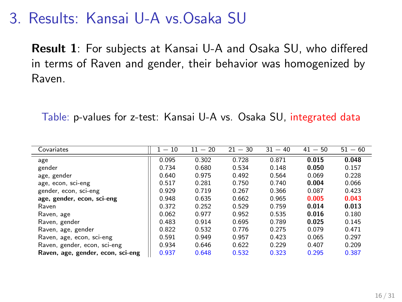### 3. Results: Kansai U-A vs.Osaka SU

**Result 1**: For subjects at Kansai U-A and Osaka SU, who differed in terms of Raven and gender, their behavior was homogenized by Raven.

Table: p-values for z-test: Kansai U-A vs. Osaka SU, integrated data

| Covariates                        | $-10$ | $-20$<br>11 | $21 - 30$ | $31 - 40$ | $41 - 50$ | $51 - 60$ |
|-----------------------------------|-------|-------------|-----------|-----------|-----------|-----------|
| age                               | 0.095 | 0.302       | 0.728     | 0.871     | 0.015     | 0.048     |
| gender                            | 0.734 | 0.680       | 0.534     | 0.148     | 0.050     | 0.157     |
| age, gender                       | 0.640 | 0.975       | 0.492     | 0.564     | 0.069     | 0.228     |
| age, econ, sci-eng                | 0.517 | 0.281       | 0.750     | 0.740     | 0.004     | 0.066     |
| gender, econ, sci-eng             | 0.929 | 0.719       | 0.267     | 0.366     | 0.087     | 0.423     |
| age, gender, econ, sci-eng        | 0.948 | 0.635       | 0.662     | 0.965     | 0.005     | 0.043     |
| Raven                             | 0.372 | 0.252       | 0.529     | 0.759     | 0.014     | 0.013     |
| Raven, age                        | 0.062 | 0.977       | 0.952     | 0.535     | 0.016     | 0.180     |
| Raven, gender                     | 0.483 | 0.914       | 0.695     | 0.789     | 0.025     | 0.145     |
| Raven, age, gender                | 0.822 | 0.532       | 0.776     | 0.275     | 0.079     | 0.471     |
| Raven, age, econ, sci-eng         | 0.591 | 0.949       | 0.957     | 0.423     | 0.065     | 0.297     |
| Raven, gender, econ, sci-eng      | 0.934 | 0.646       | 0.622     | 0.229     | 0.407     | 0.209     |
| Raven, age, gender, econ, sci-eng | 0.937 | 0.648       | 0.532     | 0.323     | 0.295     | 0.387     |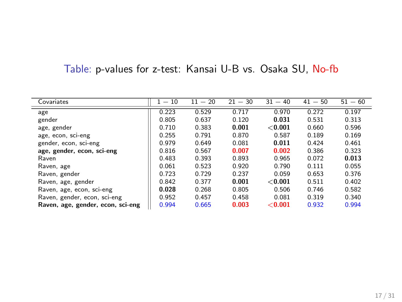### Table: p-values for z-test: Kansai U-B vs. Osaka SU, No-fb

| Covariates                        | $-10$ | $11 - 20$ | $21 - 30$ | 31<br>$-40$ | $41 - 50$ | $51 - 60$ |
|-----------------------------------|-------|-----------|-----------|-------------|-----------|-----------|
| age                               | 0.223 | 0.529     | 0.717     | 0.970       | 0.272     | 0.197     |
| gender                            | 0.805 | 0.637     | 0.120     | 0.031       | 0.531     | 0.313     |
| age, gender                       | 0.710 | 0.383     | 0.001     | < 0.001     | 0.660     | 0.596     |
| age, econ, sci-eng                | 0.255 | 0.791     | 0.870     | 0.587       | 0.189     | 0.169     |
| gender, econ, sci-eng             | 0.979 | 0.649     | 0.081     | 0.011       | 0.424     | 0.461     |
| age, gender, econ, sci-eng        | 0.816 | 0.567     | 0.007     | 0.002       | 0.386     | 0.323     |
| Raven                             | 0.483 | 0.393     | 0.893     | 0.965       | 0.072     | 0.013     |
| Raven, age                        | 0.061 | 0.523     | 0.920     | 0.790       | 0.111     | 0.055     |
| Raven, gender                     | 0.723 | 0.729     | 0.237     | 0.059       | 0.653     | 0.376     |
| Raven, age, gender                | 0.842 | 0.377     | 0.001     | < 0.001     | 0.511     | 0.402     |
| Raven, age, econ, sci-eng         | 0.028 | 0.268     | 0.805     | 0.506       | 0.746     | 0.582     |
| Raven, gender, econ, sci-eng      | 0.952 | 0.457     | 0.458     | 0.081       | 0.319     | 0.340     |
| Raven, age, gender, econ, sci-eng | 0.994 | 0.665     | 0.003     | < 0.001     | 0.932     | 0.994     |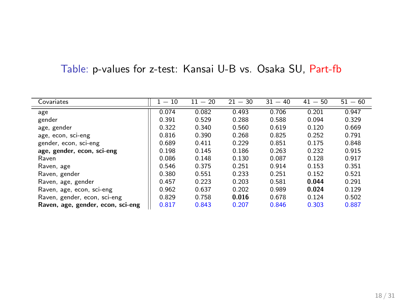### Table: p-values for z-test: Kansai U-B vs. Osaka SU, Part-fb

| Covariates                        | $-10$ | $11 - 20$ | $21 - 30$ | $31 - 40$ | $41 - 50$ | $51 - 60$ |
|-----------------------------------|-------|-----------|-----------|-----------|-----------|-----------|
| age                               | 0.074 | 0.082     | 0.493     | 0.706     | 0.201     | 0.947     |
| gender                            | 0.391 | 0.529     | 0.288     | 0.588     | 0.094     | 0.329     |
| age, gender                       | 0.322 | 0.340     | 0.560     | 0.619     | 0.120     | 0.669     |
| age, econ, sci-eng                | 0.816 | 0.390     | 0.268     | 0.825     | 0.252     | 0.791     |
| gender, econ, sci-eng             | 0.689 | 0.411     | 0.229     | 0.851     | 0.175     | 0.848     |
| age, gender, econ, sci-eng        | 0.198 | 0.145     | 0.186     | 0.263     | 0.232     | 0.915     |
| Raven                             | 0.086 | 0.148     | 0.130     | 0.087     | 0.128     | 0.917     |
| Raven, age                        | 0.546 | 0.375     | 0.251     | 0.914     | 0.153     | 0.351     |
| Raven, gender                     | 0.380 | 0.551     | 0.233     | 0.251     | 0.152     | 0.521     |
| Raven, age, gender                | 0.457 | 0.223     | 0.203     | 0.581     | 0.044     | 0.291     |
| Raven, age, econ, sci-eng         | 0.962 | 0.637     | 0.202     | 0.989     | 0.024     | 0.129     |
| Raven, gender, econ, sci-eng      | 0.829 | 0.758     | 0.016     | 0.678     | 0.124     | 0.502     |
| Raven, age, gender, econ, sci-eng | 0.817 | 0.843     | 0.207     | 0.846     | 0.303     | 0.887     |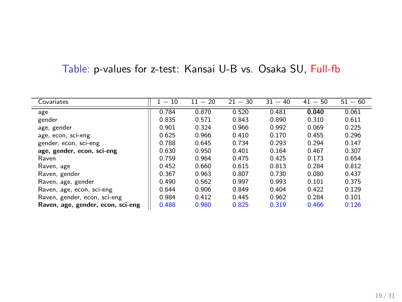### Table: p-values for z-test: Kansai U-B vs. Osaka SU, Full-fb

| Covariates                        | $-10$ | $11 - 20$ | $21 - 30$ | $31 - 40$ | $41 - 50$ | $51 - 60$ |
|-----------------------------------|-------|-----------|-----------|-----------|-----------|-----------|
| age                               | 0.784 | 0.870     | 0.520     | 0.481     | 0.040     | 0.061     |
| gender                            | 0.835 | 0.571     | 0.843     | 0.890     | 0.310     | 0.611     |
| age, gender                       | 0.901 | 0.324     | 0.966     | 0.992     | 0.069     | 0.225     |
| age, econ, sci-eng                | 0.625 | 0.966     | 0.410     | 0.170     | 0.455     | 0.296     |
| gender, econ, sci-eng             | 0.788 | 0.645     | 0.734     | 0.293     | 0.294     | 0.147     |
| age, gender, econ, sci-eng        | 0.630 | 0.950     | 0.401     | 0.164     | 0.467     | 0.307     |
| Raven                             | 0.759 | 0.964     | 0.475     | 0.425     | 0.173     | 0.654     |
| Raven, age                        | 0.452 | 0.660     | 0.615     | 0.813     | 0.284     | 0.812     |
| Raven, gender                     | 0.367 | 0.963     | 0.807     | 0.730     | 0.080     | 0.437     |
| Raven, age, gender                | 0.490 | 0.562     | 0.997     | 0.993     | 0.101     | 0.375     |
| Raven, age, econ, sci-eng         | 0.644 | 0.906     | 0.849     | 0.404     | 0.422     | 0.129     |
| Raven, gender, econ, sci-eng      | 0.984 | 0.412     | 0.445     | 0.962     | 0.284     | 0.101     |
| Raven, age, gender, econ, sci-eng | 0.488 | 0.980     | 0.825     | 0.319     | 0.466     | 0.126     |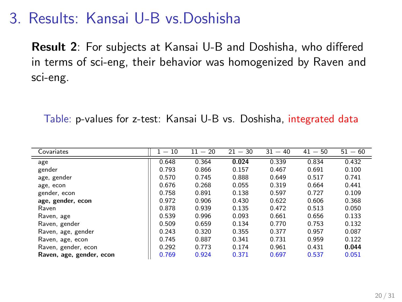### 3. Results: Kansai U-B vs.Doshisha

**Result 2**: For subjects at Kansai U-B and Doshisha, who differed in terms of sci-eng, their behavior was homogenized by Raven and sci-eng.

Table: p-values for z-test: Kansai U-B vs. Doshisha, integrated data

| Covariates               | $-10$ | $-20$<br>11 | $21 - 30$ | $31 - 40$ | $-50$<br>41 | $51 - 60$ |
|--------------------------|-------|-------------|-----------|-----------|-------------|-----------|
| age                      | 0.648 | 0.364       | 0.024     | 0.339     | 0.834       | 0.432     |
| gender                   | 0.793 | 0.866       | 0.157     | 0.467     | 0.691       | 0.100     |
| age, gender              | 0.570 | 0.745       | 0.888     | 0.649     | 0.517       | 0.741     |
| age, econ                | 0.676 | 0.268       | 0.055     | 0.319     | 0.664       | 0.441     |
| gender, econ             | 0.758 | 0.891       | 0.138     | 0.597     | 0.727       | 0.109     |
| age, gender, econ        | 0.972 | 0.906       | 0.430     | 0.622     | 0.606       | 0.368     |
| Raven                    | 0.878 | 0.939       | 0.135     | 0.472     | 0.513       | 0.050     |
| Raven, age               | 0.539 | 0.996       | 0.093     | 0.661     | 0.656       | 0.133     |
| Raven, gender            | 0.509 | 0.659       | 0.134     | 0.770     | 0.753       | 0.132     |
| Raven, age, gender       | 0.243 | 0.320       | 0.355     | 0.377     | 0.957       | 0.087     |
| Raven, age, econ         | 0.745 | 0.887       | 0.341     | 0.731     | 0.959       | 0.122     |
| Raven, gender, econ      | 0.292 | 0.773       | 0.174     | 0.961     | 0.431       | 0.044     |
| Raven, age, gender, econ | 0.769 | 0.924       | 0.371     | 0.697     | 0.537       | 0.051     |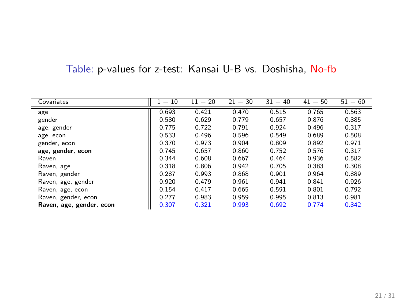| Covariates               | $-10$<br>1. | $-20$<br>11 | $21 - 30$ | 31<br>$-40$ | 41<br>$-50$ | $-60$<br>51 |
|--------------------------|-------------|-------------|-----------|-------------|-------------|-------------|
| age                      | 0.693       | 0.421       | 0.470     | 0.515       | 0.765       | 0.563       |
| gender                   | 0.580       | 0.629       | 0.779     | 0.657       | 0.876       | 0.885       |
| age, gender              | 0.775       | 0.722       | 0.791     | 0.924       | 0.496       | 0.317       |
| age, econ                | 0.533       | 0.496       | 0.596     | 0.549       | 0.689       | 0.508       |
| gender, econ             | 0.370       | 0.973       | 0.904     | 0.809       | 0.892       | 0.971       |
| age, gender, econ        | 0.745       | 0.657       | 0.860     | 0.752       | 0.576       | 0.317       |
| Raven                    | 0.344       | 0.608       | 0.667     | 0.464       | 0.936       | 0.582       |
| Raven, age               | 0.318       | 0.806       | 0.942     | 0.705       | 0.383       | 0.308       |
| Raven, gender            | 0.287       | 0.993       | 0.868     | 0.901       | 0.964       | 0.889       |
| Raven, age, gender       | 0.920       | 0.479       | 0.961     | 0.941       | 0.841       | 0.926       |
| Raven, age, econ         | 0.154       | 0.417       | 0.665     | 0.591       | 0.801       | 0.792       |
| Raven, gender, econ      | 0.277       | 0.983       | 0.959     | 0.995       | 0.813       | 0.981       |
| Raven, age, gender, econ | 0.307       | 0.321       | 0.993     | 0.692       | 0.774       | 0.842       |

### Table: p-values for z-test: Kansai U-B vs. Doshisha, No-fb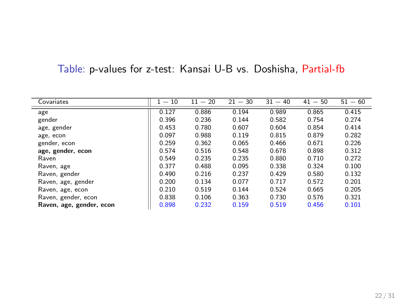### Table: p-values for z-test: Kansai U-B vs. Doshisha, Partial-fb

| Covariates               | $-10$ | $11 - 20$ | $21 - 30$ | $31 - 40$ | $41 - 50$ | $51 - 60$ |
|--------------------------|-------|-----------|-----------|-----------|-----------|-----------|
| age                      | 0.127 | 0.886     | 0.194     | 0.989     | 0.865     | 0.415     |
| gender                   | 0.396 | 0.236     | 0.144     | 0.582     | 0.754     | 0.274     |
| age, gender              | 0.453 | 0.780     | 0.607     | 0.604     | 0.854     | 0.414     |
| age, econ                | 0.097 | 0.988     | 0.119     | 0.815     | 0.879     | 0.282     |
| gender, econ             | 0.259 | 0.362     | 0.065     | 0.466     | 0.671     | 0.226     |
| age, gender, econ        | 0.574 | 0.516     | 0.548     | 0.678     | 0.898     | 0.312     |
| Raven                    | 0.549 | 0.235     | 0.235     | 0.880     | 0.710     | 0.272     |
| Raven, age               | 0.377 | 0.488     | 0.095     | 0.338     | 0.324     | 0.100     |
| Raven, gender            | 0.490 | 0.216     | 0.237     | 0.429     | 0.580     | 0.132     |
| Raven, age, gender       | 0.200 | 0.134     | 0.077     | 0.717     | 0.572     | 0.201     |
| Raven, age, econ         | 0.210 | 0.519     | 0.144     | 0.524     | 0.665     | 0.205     |
| Raven, gender, econ      | 0.838 | 0.106     | 0.363     | 0.730     | 0.576     | 0.321     |
| Raven, age, gender, econ | 0.898 | 0.232     | 0.159     | 0.519     | 0.456     | 0.101     |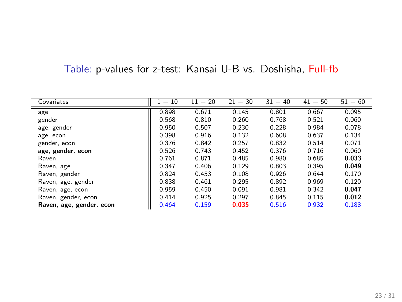### Table: p-values for z-test: Kansai U-B vs. Doshisha, Full-fb

| Covariates               | $-10$ | $11 - 20$ | $21 - 30$ | $31 - 40$ | $41 - 50$ | $51 - 60$ |
|--------------------------|-------|-----------|-----------|-----------|-----------|-----------|
| age                      | 0.898 | 0.671     | 0.145     | 0.801     | 0.667     | 0.095     |
| gender                   | 0.568 | 0.810     | 0.260     | 0.768     | 0.521     | 0.060     |
| age, gender              | 0.950 | 0.507     | 0.230     | 0.228     | 0.984     | 0.078     |
| age, econ                | 0.398 | 0.916     | 0.132     | 0.608     | 0.637     | 0.134     |
| gender, econ             | 0.376 | 0.842     | 0.257     | 0.832     | 0.514     | 0.071     |
| age, gender, econ        | 0.526 | 0.743     | 0.452     | 0.376     | 0.716     | 0.060     |
| Raven                    | 0.761 | 0.871     | 0.485     | 0.980     | 0.685     | 0.033     |
| Raven, age               | 0.347 | 0.406     | 0.129     | 0.803     | 0.395     | 0.049     |
| Raven, gender            | 0.824 | 0.453     | 0.108     | 0.926     | 0.644     | 0.170     |
| Raven, age, gender       | 0.838 | 0.461     | 0.295     | 0.892     | 0.969     | 0.120     |
| Raven, age, econ         | 0.959 | 0.450     | 0.091     | 0.981     | 0.342     | 0.047     |
| Raven, gender, econ      | 0.414 | 0.925     | 0.297     | 0.845     | 0.115     | 0.012     |
| Raven, age, gender, econ | 0.464 | 0.159     | 0.035     | 0.516     | 0.932     | 0.188     |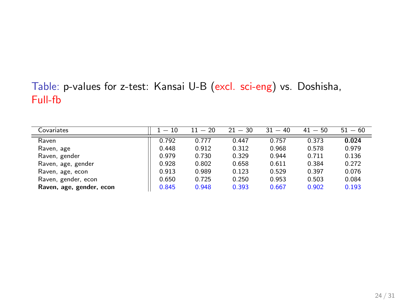### Table: p-values for z-test: Kansai U-B (excl. sci-eng) vs. Doshisha, Full-fb

| Covariates               | $1 - 10$ | $11 - 20$ | $21 - 30$ | $31 - 40$ | $41 - 50$ | $51 - 60$ |
|--------------------------|----------|-----------|-----------|-----------|-----------|-----------|
| Raven                    | 0.792    | 0.777     | 0.447     | 0.757     | 0.373     | 0.024     |
| Raven, age               | 0.448    | 0.912     | 0.312     | 0.968     | 0.578     | 0.979     |
| Raven, gender            | 0.979    | 0.730     | 0.329     | 0.944     | 0.711     | 0.136     |
| Raven, age, gender       | 0.928    | 0.802     | 0.658     | 0.611     | 0.384     | 0.272     |
| Raven, age, econ         | 0.913    | 0.989     | 0.123     | 0.529     | 0.397     | 0.076     |
| Raven, gender, econ      | 0.650    | 0.725     | 0.250     | 0.953     | 0.503     | 0.084     |
| Raven, age, gender, econ | 0.845    | 0.948     | 0.393     | 0.667     | 0.902     | 0.193     |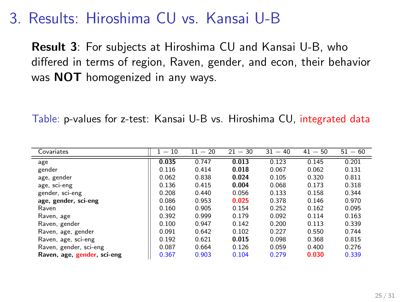### 3. Results: Hiroshima CU vs. Kansai U-B

**Result 3**: For subjects at Hiroshima CU and Kansai U-B, who differed in terms of region, Raven, gender, and econ, their behavior was **NOT** homogenized in any ways.

Table: p-values for z-test: Kansai U-B vs. Hiroshima CU, integrated data

| Covariates                  | $1 - 10$ | $11 - 20$ | $21 - 30$ | $31 - 40$ | $41 - 50$ | $51 - 60$ |
|-----------------------------|----------|-----------|-----------|-----------|-----------|-----------|
| age                         | 0.035    | 0.747     | 0.013     | 0.123     | 0.145     | 0.201     |
| gender                      | 0.116    | 0.414     | 0.018     | 0.067     | 0.062     | 0.131     |
| age, gender                 | 0.062    | 0.838     | 0.024     | 0.105     | 0.320     | 0.811     |
| age, sci-eng                | 0.136    | 0.415     | 0.004     | 0.068     | 0.173     | 0.318     |
| gender, sci-eng             | 0.208    | 0.440     | 0.056     | 0.133     | 0.158     | 0.344     |
| age, gender, sci-eng        | 0.086    | 0.953     | 0.025     | 0.378     | 0.146     | 0.970     |
| Raven                       | 0.160    | 0.905     | 0.154     | 0.252     | 0.162     | 0.095     |
| Raven, age                  | 0.392    | 0.999     | 0.179     | 0.092     | 0.114     | 0.163     |
| Raven, gender               | 0.100    | 0.947     | 0.142     | 0.200     | 0.113     | 0.339     |
| Raven, age, gender          | 0.091    | 0.642     | 0.102     | 0.227     | 0.550     | 0.744     |
| Raven, age, sci-eng         | 0.192    | 0.621     | 0.015     | 0.098     | 0.368     | 0.815     |
| Raven, gender, sci-eng      | 0.087    | 0.664     | 0.126     | 0.059     | 0.400     | 0.276     |
| Raven, age, gender, sci-eng | 0.367    | 0.903     | 0.104     | 0.279     | 0.030     | 0.339     |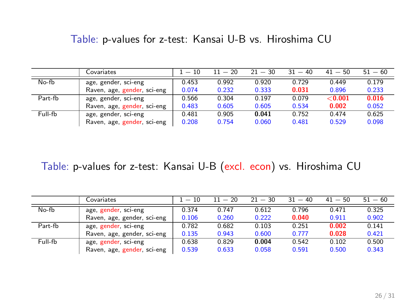#### Table: p-values for z-test: Kansai U-B vs. Hiroshima CU

|         | Covariates                  | $1 - 10$ | $11 - 20$ | $21 - 30$ | $31 - 40$ | $41 - 50$ | $51 - 60$ |
|---------|-----------------------------|----------|-----------|-----------|-----------|-----------|-----------|
| No-fb   | age, gender, sci-eng        | 0.453    | 0.992     | 0.920     | 0.729     | 0.449     | 0.179     |
|         | Raven, age, gender, sci-eng | 0.074    | 0.232     | 0.333     | 0.031     | 0.896     | 0.233     |
| Part-fb | age, gender, sci-eng        | 0.566    | 0.304     | 0.197     | 0.079     | < 0.001   | 0.016     |
|         | Raven, age, gender, sci-eng | 0.483    | 0.605     | 0.605     | 0.534     | 0.002     | 0.052     |
| Full-fb | age, gender, sci-eng        | 0.481    | 0.905     | 0.041     | 0.752     | 0.474     | 0.625     |
|         | Raven, age, gender, sci-eng | 0.208    | 0.754     | 0.060     | 0.481     | 0.529     | 0.098     |

#### Table: p-values for z-test: Kansai U-B (excl. econ) vs. Hiroshima CU

|         | Covariates                  | $1 - 10$ | $11 - 20$ | $21 - 30$ | $31 - 40$ | $41 - 50$ | $51 - 60$ |
|---------|-----------------------------|----------|-----------|-----------|-----------|-----------|-----------|
| No-fb   | age, gender, sci-eng        | 0.374    | 0.747     | 0.612     | 0.796     | 0.471     | 0.325     |
|         | Raven, age, gender, sci-eng | 0.106    | 0.260     | 0.222     | 0.040     | 0.911     | 0.902     |
| Part-fb | age, gender, sci-eng        | 0.782    | 0.682     | 0.103     | 0.251     | 0.002     | 0.141     |
|         | Raven, age, gender, sci-eng | 0.135    | 0.943     | 0.600     | 0.777     | 0.028     | 0.421     |
| Full-fb | age, gender, sci-eng        | 0.638    | 0.829     | 0.004     | 0.542     | 0.102     | 0.500     |
|         | Raven, age, gender, sci-eng | 0.539    | 0.633     | 0.058     | 0.591     | 0.500     | 0.343     |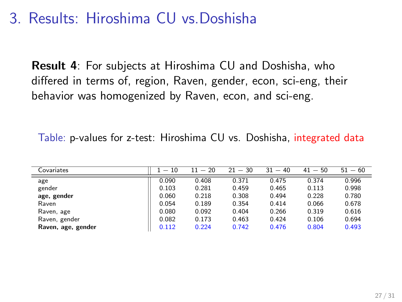### 3. Results: Hiroshima CU vs.Doshisha

**Result 4**: For subjects at Hiroshima CU and Doshisha, who differed in terms of, region, Raven, gender, econ, sci-eng, their behavior was homogenized by Raven, econ, and sci-eng.

| Covariates         | $-10$ | $11 - 20$ | $21 - 30$ | 31<br>$-40$ | $41 - 50$ | $51 - 60$ |
|--------------------|-------|-----------|-----------|-------------|-----------|-----------|
| age                | 0.090 | 0.408     | 0.371     | 0.475       | 0.374     | 0.996     |
| gender             | 0.103 | 0.281     | 0.459     | 0.465       | 0.113     | 0.998     |
| age, gender        | 0.060 | 0.218     | 0.308     | 0.494       | 0.228     | 0.780     |
| Raven              | 0.054 | 0.189     | 0.354     | 0.414       | 0.066     | 0.678     |
| Raven, age         | 0.080 | 0.092     | 0.404     | 0.266       | 0.319     | 0.616     |
| Raven, gender      | 0.082 | 0.173     | 0.463     | 0.424       | 0.106     | 0.694     |
| Raven, age, gender | 0.112 | 0.224     | 0.742     | 0.476       | 0.804     | 0.493     |

Table: p-values for z-test: Hiroshima CU vs. Doshisha, integrated data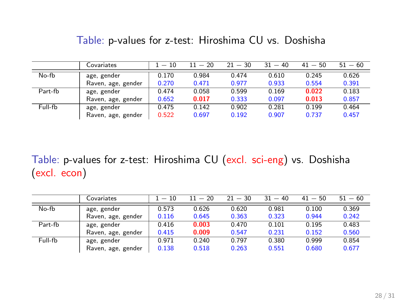|         | Covariates         | $1-10$ | $11 - 20$ | $21 - 30$ | $31 - 40$ | $41 - 50$ | $51 - 60$ |
|---------|--------------------|--------|-----------|-----------|-----------|-----------|-----------|
| No-fb   | age, gender        | 0.170  | 0.984     | 0.474     | 0.610     | 0.245     | 0.626     |
|         | Raven, age, gender | 0.270  | 0.471     | 0.977     | 0.933     | 0.554     | 0.391     |
| Part-fb | age, gender        | 0.474  | 0.058     | 0.599     | 0.169     | 0.022     | 0.183     |
|         | Raven, age, gender | 0.652  | 0.017     | 0.333     | 0.097     | 0.013     | 0.857     |
| Full-fb | age, gender        | 0.475  | 0.142     | 0.902     | 0.281     | 0.199     | 0.464     |
|         | Raven, age, gender | 0.522  | 0.697     | 0.192     | 0.907     | 0.737     | 0.457     |

Table: p-values for z-test: Hiroshima CU vs. Doshisha

Table: p-values for z-test: Hiroshima CU (excl. sci-eng) vs. Doshisha (excl. econ)

|         | Covariates         | $-10$ | $11 - 20$ | $21 - 30$ | $31 - 40$ | $41 - 50$ | $51 - 60$ |
|---------|--------------------|-------|-----------|-----------|-----------|-----------|-----------|
| No-fb   | age, gender        | 0.573 | 0.626     | 0.620     | 0.981     | 0.100     | 0.369     |
|         | Raven, age, gender | 0.116 | 0.645     | 0.363     | 0.323     | 0.944     | 0.242     |
| Part-fb | age, gender        | 0.416 | 0.003     | 0.470     | 0.101     | 0.195     | 0.483     |
|         | Raven, age, gender | 0.415 | 0.009     | 0.547     | 0.231     | 0.152     | 0.560     |
| Full-fb | age, gender        | 0.971 | 0.240     | 0.797     | 0.380     | 0.999     | 0.854     |
|         | Raven, age, gender | 0.138 | 0.518     | 0.263     | 0.551     | 0.680     | 0.677     |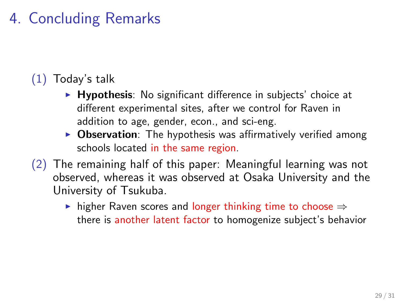# 4. Concluding Remarks

### (1) Today's talk

- ▶ **Hypothesis**: No significant difference in subjects' choice at different experimental sites, after we control for Raven in addition to age, gender, econ., and sci-eng.
- ▶ Observation: The hypothesis was affirmatively verified among schools located in the same region.
- $(2)$  The remaining half of this paper: Meaningful learning was not observed, whereas it was observed at Osaka University and the University of Tsukuba.
	- ▶ higher Raven scores and longer thinking time to choose *⇒* there is another latent factor to homogenize subject's behavior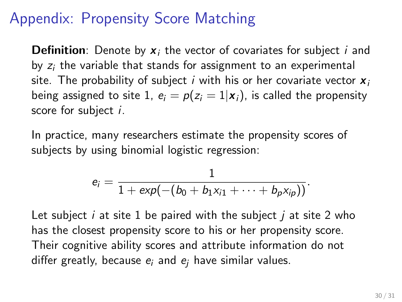## Appendix: Propensity Score Matching

**Definition**: Denote by *x<sup>i</sup>* the vector of covariates for subject *i* and by *z<sup>i</sup>* the variable that stands for assignment to an experimental site. The probability of subject *i* with his or her covariate vector *x<sup>i</sup>* being assigned to site 1,  $e_i = p(z_i = 1 | x_i)$ , is called the propensity score for subject *i*.

In practice, many researchers estimate the propensity scores of subjects by using binomial logistic regression:

$$
e_i = \frac{1}{1 + exp(-(b_0 + b_1x_{i1} + \cdots + b_px_{ip}))}.
$$

Let subject *i* at site 1 be paired with the subject *j* at site 2 who has the closest propensity score to his or her propensity score. Their cognitive ability scores and attribute information do not differ greatly, because *e<sup>i</sup>* and *e<sup>j</sup>* have similar values.